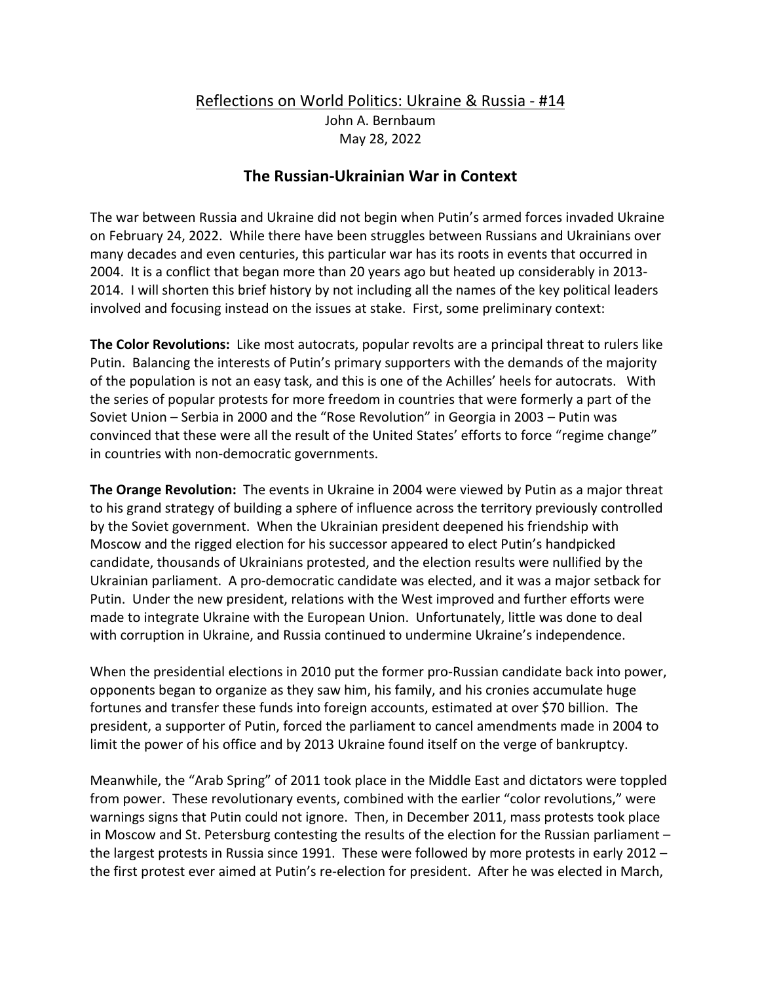## Reflections on World Politics: Ukraine & Russia - #14 John A. Bernbaum May 28, 2022

## **The Russian-Ukrainian War in Context**

The war between Russia and Ukraine did not begin when Putin's armed forces invaded Ukraine on February 24, 2022. While there have been struggles between Russians and Ukrainians over many decades and even centuries, this particular war has its roots in events that occurred in 2004. It is a conflict that began more than 20 years ago but heated up considerably in 2013- 2014. I will shorten this brief history by not including all the names of the key political leaders involved and focusing instead on the issues at stake. First, some preliminary context:

**The Color Revolutions:** Like most autocrats, popular revolts are a principal threat to rulers like Putin. Balancing the interests of Putin's primary supporters with the demands of the majority of the population is not an easy task, and this is one of the Achilles' heels for autocrats. With the series of popular protests for more freedom in countries that were formerly a part of the Soviet Union – Serbia in 2000 and the "Rose Revolution" in Georgia in 2003 – Putin was convinced that these were all the result of the United States' efforts to force "regime change" in countries with non-democratic governments.

**The Orange Revolution:** The events in Ukraine in 2004 were viewed by Putin as a major threat to his grand strategy of building a sphere of influence across the territory previously controlled by the Soviet government. When the Ukrainian president deepened his friendship with Moscow and the rigged election for his successor appeared to elect Putin's handpicked candidate, thousands of Ukrainians protested, and the election results were nullified by the Ukrainian parliament. A pro-democratic candidate was elected, and it was a major setback for Putin. Under the new president, relations with the West improved and further efforts were made to integrate Ukraine with the European Union. Unfortunately, little was done to deal with corruption in Ukraine, and Russia continued to undermine Ukraine's independence.

When the presidential elections in 2010 put the former pro-Russian candidate back into power, opponents began to organize as they saw him, his family, and his cronies accumulate huge fortunes and transfer these funds into foreign accounts, estimated at over \$70 billion. The president, a supporter of Putin, forced the parliament to cancel amendments made in 2004 to limit the power of his office and by 2013 Ukraine found itself on the verge of bankruptcy.

Meanwhile, the "Arab Spring" of 2011 took place in the Middle East and dictators were toppled from power. These revolutionary events, combined with the earlier "color revolutions," were warnings signs that Putin could not ignore. Then, in December 2011, mass protests took place in Moscow and St. Petersburg contesting the results of the election for the Russian parliament – the largest protests in Russia since 1991. These were followed by more protests in early 2012 – the first protest ever aimed at Putin's re-election for president. After he was elected in March,